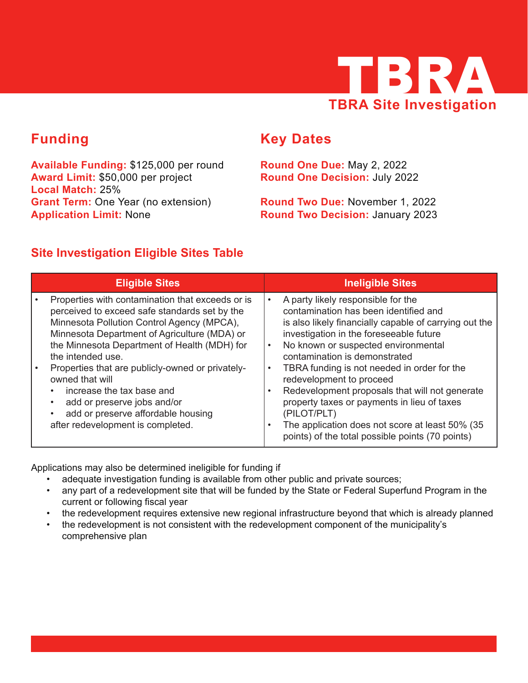

# **Funding**

**Available Funding:** \$125,000 per round **Award Limit:** \$50,000 per project **Local Match:** 25% **Grant Term:** One Year (no extension) **Application Limit:** None

# **Key Dates**

**Round One Due:** May 2, 2022 **Round One Decision:** July 2022

**Round Two Due:** November 1, 2022 **Round Two Decision:** January 2023

## **Site Investigation Eligible Sites Table**

| <b>Eligible Sites</b>                                                                                                                                                                                                                                                | <b>Ineligible Sites</b>                                                                                                                                                                                                                                                                                                               |
|----------------------------------------------------------------------------------------------------------------------------------------------------------------------------------------------------------------------------------------------------------------------|---------------------------------------------------------------------------------------------------------------------------------------------------------------------------------------------------------------------------------------------------------------------------------------------------------------------------------------|
| Properties with contamination that exceeds or is<br>perceived to exceed safe standards set by the<br>Minnesota Pollution Control Agency (MPCA),<br>Minnesota Department of Agriculture (MDA) or<br>the Minnesota Department of Health (MDH) for<br>the intended use. | A party likely responsible for the<br>$\bullet$<br>contamination has been identified and<br>is also likely financially capable of carrying out the<br>investigation in the foreseeable future<br>No known or suspected environmental<br>$\bullet$<br>contamination is demonstrated                                                    |
| Properties that are publicly-owned or privately-<br>owned that will<br>increase the tax base and<br>add or preserve jobs and/or<br>$\bullet$<br>add or preserve affordable housing<br>after redevelopment is completed.                                              | TBRA funding is not needed in order for the<br>$\bullet$<br>redevelopment to proceed<br>Redevelopment proposals that will not generate<br>$\bullet$<br>property taxes or payments in lieu of taxes<br>(PILOT/PLT)<br>The application does not score at least 50% (35<br>$\bullet$<br>points) of the total possible points (70 points) |

Applications may also be determined ineligible for funding if

- adequate investigation funding is available from other public and private sources;
- any part of a redevelopment site that will be funded by the State or Federal Superfund Program in the current or following fiscal year
- the redevelopment requires extensive new regional infrastructure beyond that which is already planned
- the redevelopment is not consistent with the redevelopment component of the municipality's comprehensive plan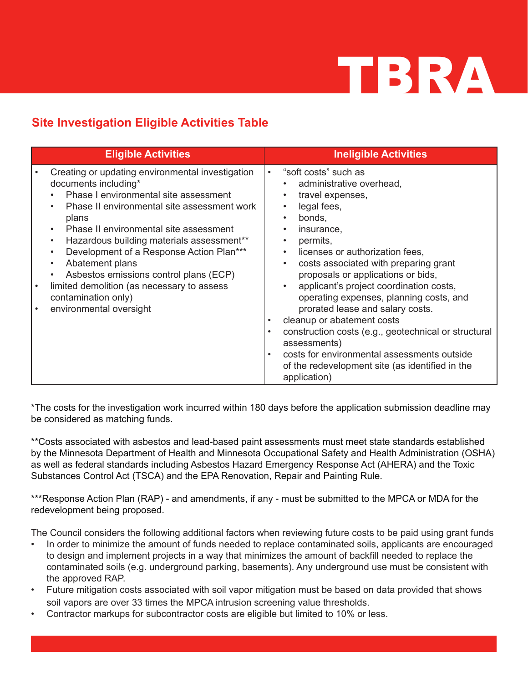# TBRA

## **Site Investigation Eligible Activities Table**

| <b>Eligible Activities</b>                                                                                                                                                                                                                                                                                                                                                                                                                                                                                                    | <b>Ineligible Activities</b>                                                                                                                                                                                                                                                                                                                                                                                                                                                                                                                                                                                                                                              |
|-------------------------------------------------------------------------------------------------------------------------------------------------------------------------------------------------------------------------------------------------------------------------------------------------------------------------------------------------------------------------------------------------------------------------------------------------------------------------------------------------------------------------------|---------------------------------------------------------------------------------------------------------------------------------------------------------------------------------------------------------------------------------------------------------------------------------------------------------------------------------------------------------------------------------------------------------------------------------------------------------------------------------------------------------------------------------------------------------------------------------------------------------------------------------------------------------------------------|
| Creating or updating environmental investigation<br>documents including*<br>Phase I environmental site assessment<br>Phase II environmental site assessment work<br>plans<br>Phase II environmental site assessment<br>$\bullet$<br>Hazardous building materials assessment**<br>Development of a Response Action Plan***<br>$\bullet$<br>Abatement plans<br>$\bullet$<br>Asbestos emissions control plans (ECP)<br>$\bullet$<br>limited demolition (as necessary to assess<br>contamination only)<br>environmental oversight | "soft costs" such as<br>$\bullet$<br>administrative overhead,<br>travel expenses,<br>legal fees,<br>bonds,<br>$\bullet$<br>insurance,<br>permits,<br>licenses or authorization fees,<br>costs associated with preparing grant<br>$\bullet$<br>proposals or applications or bids,<br>applicant's project coordination costs,<br>operating expenses, planning costs, and<br>prorated lease and salary costs.<br>cleanup or abatement costs<br>$\bullet$<br>construction costs (e.g., geotechnical or structural<br>$\bullet$<br>assessments)<br>costs for environmental assessments outside<br>$\bullet$<br>of the redevelopment site (as identified in the<br>application) |

\*The costs for the investigation work incurred within 180 days before the application submission deadline may be considered as matching funds.

\*\*Costs associated with asbestos and lead-based paint assessments must meet state standards established by the Minnesota Department of Health and Minnesota Occupational Safety and Health Administration (OSHA) as well as federal standards including Asbestos Hazard Emergency Response Act (AHERA) and the Toxic Substances Control Act (TSCA) and the EPA Renovation, Repair and Painting Rule.

\*\*\*Response Action Plan (RAP) - and amendments, if any - must be submitted to the MPCA or MDA for the redevelopment being proposed.

The Council considers the following additional factors when reviewing future costs to be paid using grant funds

- In order to minimize the amount of funds needed to replace contaminated soils, applicants are encouraged to design and implement projects in a way that minimizes the amount of backfill needed to replace the contaminated soils (e.g. underground parking, basements). Any underground use must be consistent with the approved RAP.
- Future mitigation costs associated with soil vapor mitigation must be based on data provided that shows soil vapors are over 33 times the MPCA intrusion screening value thresholds.
- Contractor markups for subcontractor costs are eligible but limited to 10% or less.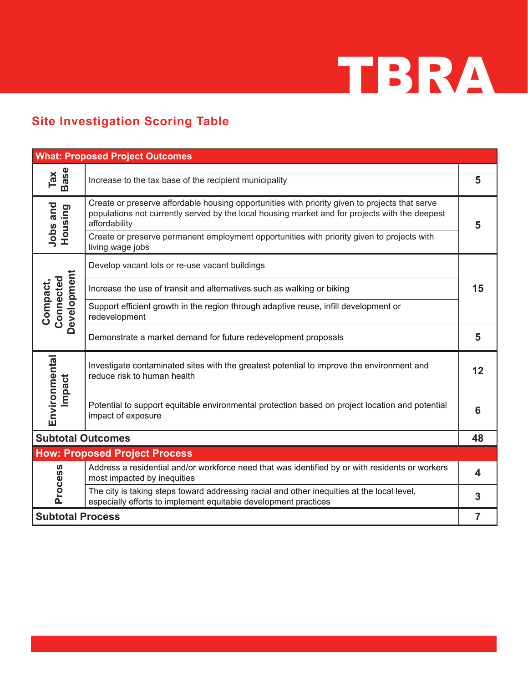

# **Site Investigation Scoring Table**

| <b>What: Proposed Project Outcomes</b> |                                                                                                                                                                                                                   |                         |  |
|----------------------------------------|-------------------------------------------------------------------------------------------------------------------------------------------------------------------------------------------------------------------|-------------------------|--|
| Tax<br>Base                            | Increase to the tax base of the recipient municipality                                                                                                                                                            | 5                       |  |
| Jobs and<br>Housing                    | Create or preserve affordable housing opportunities with priority given to projects that serve<br>populations not currently served by the local housing market and for projects with the deepest<br>affordability | 5                       |  |
|                                        | Create or preserve permanent employment opportunities with priority given to projects with<br>living wage jobs                                                                                                    |                         |  |
|                                        | Develop vacant lots or re-use vacant buildings                                                                                                                                                                    |                         |  |
|                                        | Increase the use of transit and alternatives such as walking or biking                                                                                                                                            | 15                      |  |
| Development<br>Connected<br>Compact,   | Support efficient growth in the region through adaptive reuse, infill development or<br>redevelopment                                                                                                             |                         |  |
|                                        | Demonstrate a market demand for future redevelopment proposals                                                                                                                                                    | 5                       |  |
| Environmental<br>Impact                | Investigate contaminated sites with the greatest potential to improve the environment and<br>reduce risk to human health                                                                                          | 12                      |  |
|                                        | Potential to support equitable environmental protection based on project location and potential<br>impact of exposure                                                                                             | 6                       |  |
| <b>Subtotal Outcomes</b>               |                                                                                                                                                                                                                   | 48                      |  |
|                                        | <b>How: Proposed Project Process</b>                                                                                                                                                                              |                         |  |
| <b>Process</b>                         | Address a residential and/or workforce need that was identified by or with residents or workers<br>most impacted by inequities                                                                                    | $\overline{\mathbf{4}}$ |  |
|                                        | The city is taking steps toward addressing racial and other inequities at the local level,<br>especially efforts to implement equitable development practices                                                     | 3                       |  |
| <b>Subtotal Process</b>                |                                                                                                                                                                                                                   | $\overline{7}$          |  |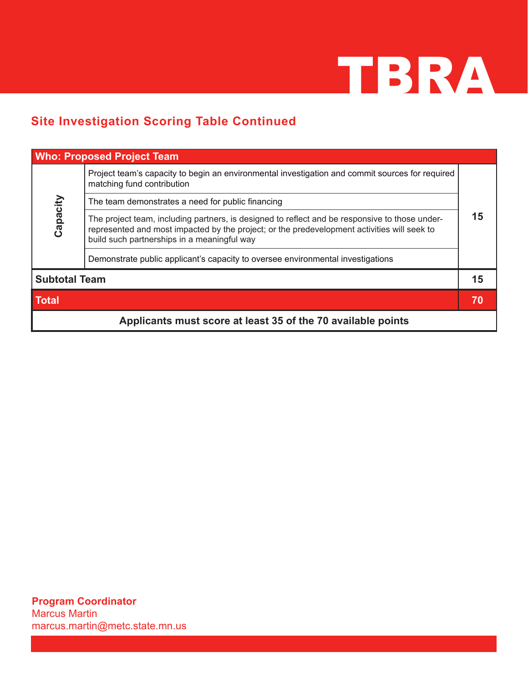

## **Site Investigation Scoring Table Continued**

|                                                              | <b>Who: Proposed Project Team</b>                                                                                                                                                                                                            |    |
|--------------------------------------------------------------|----------------------------------------------------------------------------------------------------------------------------------------------------------------------------------------------------------------------------------------------|----|
|                                                              | Project team's capacity to begin an environmental investigation and commit sources for required<br>matching fund contribution                                                                                                                | 15 |
|                                                              | The team demonstrates a need for public financing                                                                                                                                                                                            |    |
| Capacity                                                     | The project team, including partners, is designed to reflect and be responsive to those under-<br>represented and most impacted by the project; or the predevelopment activities will seek to<br>build such partnerships in a meaningful way |    |
|                                                              | Demonstrate public applicant's capacity to oversee environmental investigations                                                                                                                                                              |    |
| <b>Subtotal Team</b>                                         |                                                                                                                                                                                                                                              | 15 |
| <b>Total</b>                                                 |                                                                                                                                                                                                                                              | 70 |
| Applicants must score at least 35 of the 70 available points |                                                                                                                                                                                                                                              |    |